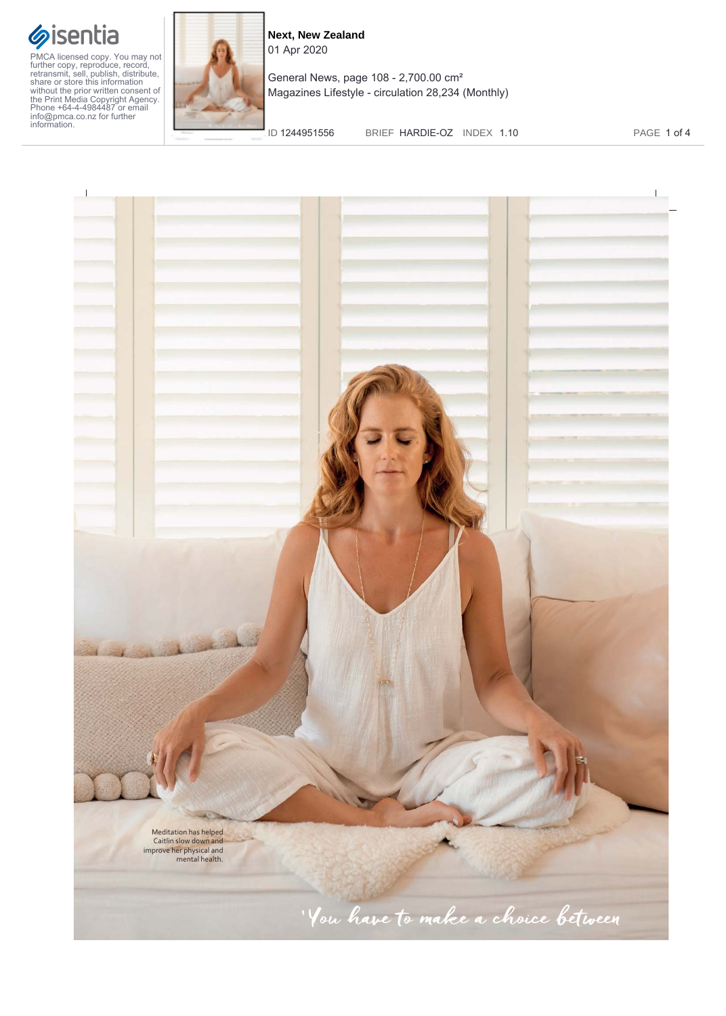

PMCA licensed copy. You may not further copy, reproduce, record, retransmit, sell, publish, distribute, share or store this information without the prior written consent of<br>the Print Media Copyright Agency.<br>Phone +64-4-4984487 or email<br>info@pmca.co.nz for further<br>information.



**Next, New Zealand** 01 Apr 2020

General News, page 108 - 2,700.00 cm² Magazines Lifestyle - circulation 28,234 (Monthly)

ID 1244951556 BRIEF HARDIE-OZ INDEX 1.10 PAGE 1 of 4

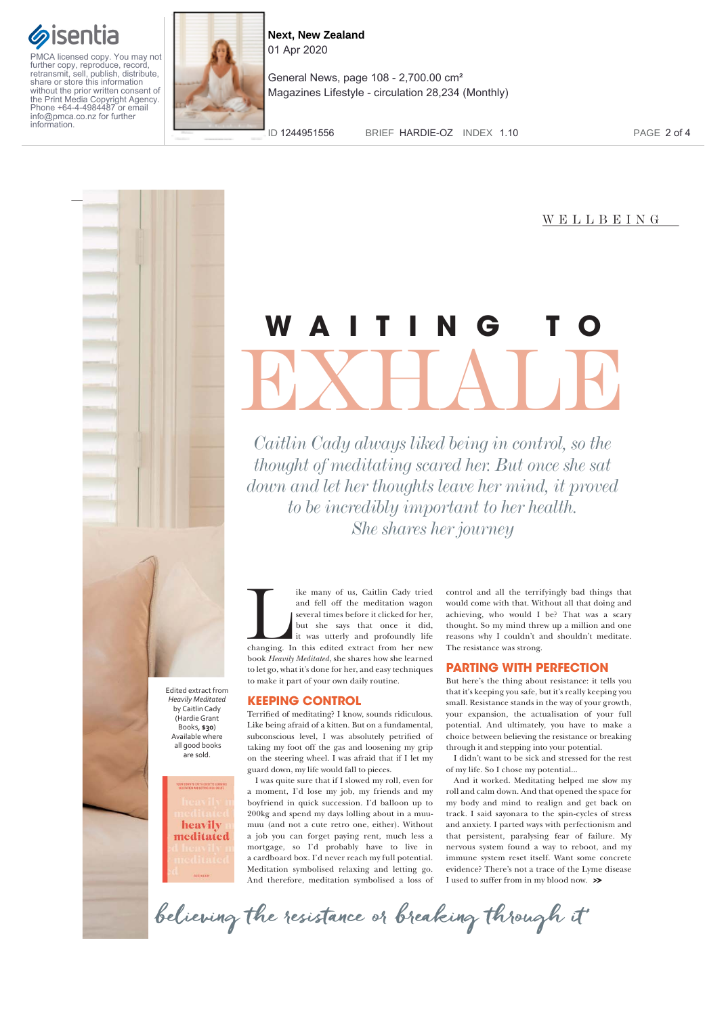

PMCA licensed copy. You may not further copy, reproduce, record, retransmit, sell, publish, distribute, share or store this information without the prior written consent of the Print Media Copyright Agency. Phone +64-4-4984487 or email info@pmca.co.nz for further information.



**Next, New Zealand** 01 Apr 2020

General News, page 108 - 2,700.00 cm² Magazines Lifestyle - circulation 28,234 (Monthly)

ID 1244951556 BRIEF HARDIE-OZ INDEX 1.10 PAGE 2 of 4

WELLBEING

# EXHALE **WAITING TO**

*Caitlin Cady always liked being in control, so the thought of meditating scared her. But once she sat down and let her thoughts leave her mind, it proved to be incredibly important to her health. She shares her journey*

The many of us, Caitlin Cady tried and fell off the meditation wagon several times before it clicked for her, but she says that once it did, it was utterly and profoundly life changing. In this edited extract from her new and fell off the meditation wagon several times before it clicked for her, but she says that once it did, it was utterly and profoundly life book *Heavily Meditated*, she shares how she learned to let go, what it's done for her, and easy techniques to make it part of your own daily routine.

# **KEEPING CONTROL**

Terrified of meditating? I know, sounds ridiculous. Like being afraid of a kitten. But on a fundamental, subconscious level, I was absolutely petrified of taking my foot off the gas and loosening my grip on the steering wheel. I was afraid that if I let my guard down, my life would fall to pieces.

I was quite sure that if I slowed my roll, even for a moment, I'd lose my job, my friends and my boyfriend in quick succession. I'd balloon up to 200kg and spend my days lolling about in a muumuu (and not a cute retro one, either). Without a job you can forget paying rent, much less a mortgage, so I'd probably have to live in a cardboard box. I'd never reach my full potential. Meditation symbolised relaxing and letting go. And therefore, meditation symbolised a loss of control and all the terrifyingly bad things that would come with that. Without all that doing and achieving, who would I be? That was a scary thought. So my mind threw up a million and one reasons why I couldn't and shouldn't meditate. The resistance was strong.

# **PARTING WITH PERFECTION**

But here's the thing about resistance: it tells you that it's keeping you safe, but it's really keeping you small. Resistance stands in the way of your growth, your expansion, the actualisation of your full potential. And ultimately, you have to make a choice between believing the resistance or breaking through it and stepping into your potential.

I didn't want to be sick and stressed for the rest of my life. So I chose my potential...

And it worked. Meditating helped me slow my roll and calm down. And that opened the space for my body and mind to realign and get back on track. I said sayonara to the spin-cycles of stress and anxiety. I parted ways with perfectionism and that persistent, paralysing fear of failure. My nervous system found a way to reboot, and my immune system reset itself. Want some concrete evidence? There's not a trace of the Lyme disease I used to suffer from in my blood now.  $\gg$ 

believing the resistance or breaking through it'

Edited extract from *Heavily Meditated*  by Caitlin Cady (Hardie Grant Books, **\$30**) Available where all good books are sold.

heavily meditated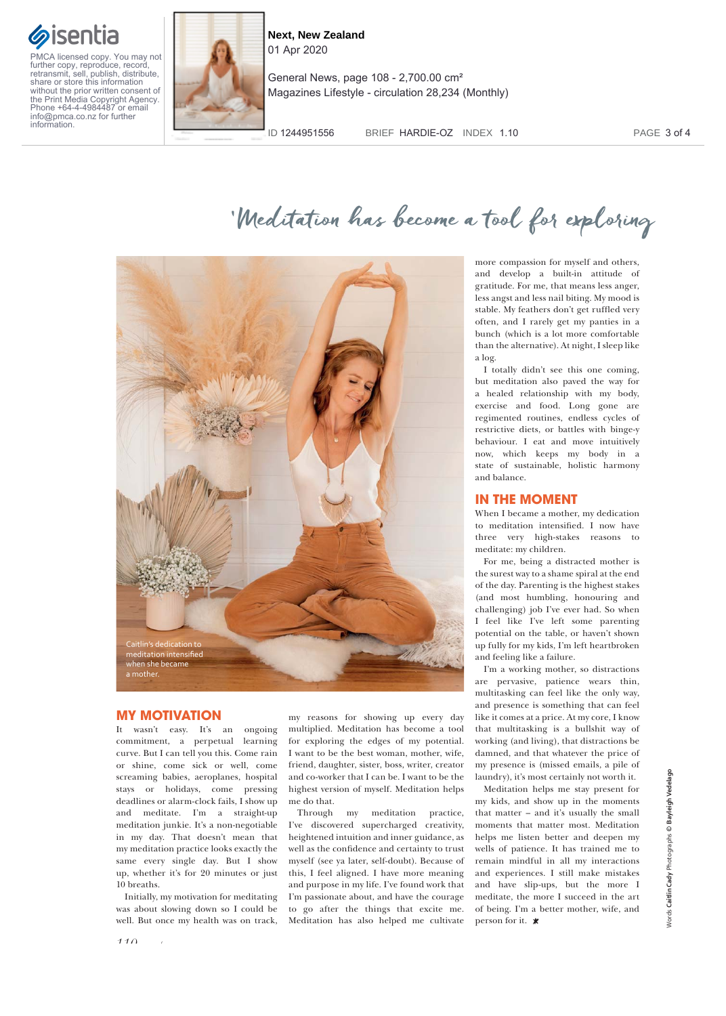

PMCA licensed copy. You may not further copy, reproduce, record, retransmit, sell, publish, distribute, share or store this information without the prior written consent of the Print Media Copyright Agency. Phone +64-4-4984487 or email info@pmca.co.nz for further information.



**Next, New Zealand** 01 Apr 2020

General News, page 108 - 2,700.00 cm² Magazines Lifestyle - circulation 28,234 (Monthly)

ID 1244951556 BRIEF HARDIE-OZ INDEX 1.10 PAGE 3 of 4

'Meditation has become a tool for exploring



# **MY MOTIVATION**

It wasn't easy. It's an ongoing commitment, a perpetual learning curve. But I can tell you this. Come rain or shine, come sick or well, come screaming babies, aeroplanes, hospital stays or holidays, come pressing deadlines or alarm-clock fails, I show up and meditate. I'm a straight-up meditation junkie. It's a non-negotiable in my day. That doesn't mean that my meditation practice looks exactly the same every single day. But I show up, whether it's for 20 minutes or just 10 breaths.

Initially, my motivation for meditating was about slowing down so I could be well. But once my health was on track,

my reasons for showing up every day multiplied. Meditation has become a tool for exploring the edges of my potential. I want to be the best woman, mother, wife, friend, daughter, sister, boss, writer, creator and co-worker that I can be. I want to be the highest version of myself. Meditation helps me do that.

Through my meditation practice, I've discovered supercharged creativity, heightened intuition and inner guidance, as well as the confidence and certainty to trust myself (see ya later, self-doubt). Because of this, I feel aligned. I have more meaning and purpose in my life. I've found work that I'm passionate about, and have the courage to go after the things that excite me. Meditation has also helped me cultivate

more compassion for myself and others, and develop a built-in attitude of gratitude. For me, that means less anger, less angst and less nail biting. My mood is stable. My feathers don't get ruffled very often, and I rarely get my panties in a bunch (which is a lot more comfortable than the alternative). At night, I sleep like a log.

I totally didn't see this one coming, but meditation also paved the way for a healed relationship with my body, exercise and food. Long gone are regimented routines, endless cycles of restrictive diets, or battles with binge-y behaviour. I eat and move intuitively now, which keeps my body in a state of sustainable, holistic harmony and balance.

# **IN THE MOMENT**

When I became a mother, my dedication to meditation intensified. I now have three very high-stakes reasons to meditate: my children.

For me, being a distracted mother is the surest way to a shame spiral at the end of the day. Parenting is the highest stakes (and most humbling, honouring and challenging) job I've ever had. So when I feel like I've left some parenting potential on the table, or haven't shown up fully for my kids, I'm left heartbroken and feeling like a failure.

I'm a working mother, so distractions are pervasive, patience wears thin, multitasking can feel like the only way, and presence is something that can feel like it comes at a price. At my core, I know that multitasking is a bullshit way of working (and living), that distractions be damned, and that whatever the price of my presence is (missed emails, a pile of laundry), it's most certainly not worth it.

Meditation helps me stay present for my kids, and show up in the moments that matter – and it's usually the small moments that matter most. Meditation helps me listen better and deepen my wells of patience. It has trained me to remain mindful in all my interactions and experiences. I still make mistakes and have slip-ups, but the more I meditate, the more I succeed in the art of being. I'm a better mother, wife, and person for it.  $\star$